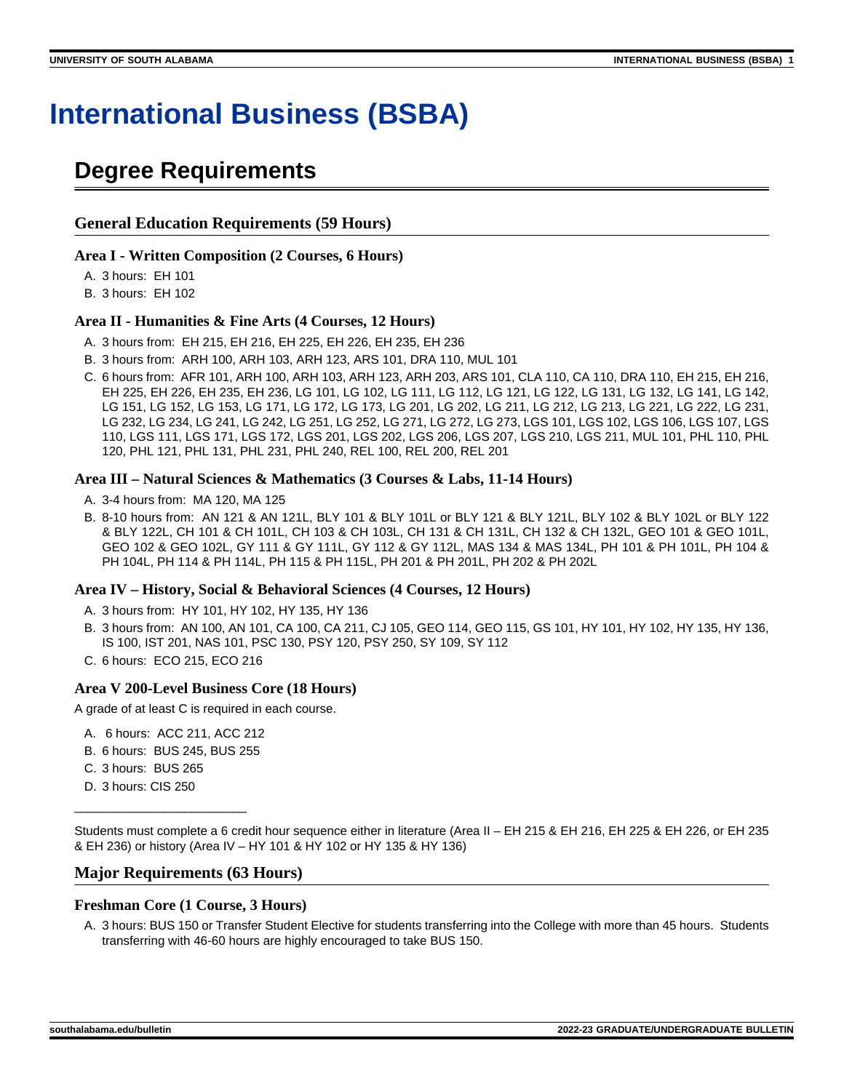# **International Business (BSBA)**

## **Degree Requirements**

### **General Education Requirements (59 Hours)**

### **Area I - Written Composition (2 Courses, 6 Hours)**

A. 3 hours: EH 101

B. 3 hours: EH 102

### **Area II - Humanities & Fine Arts (4 Courses, 12 Hours)**

- A. 3 hours from: EH 215, EH 216, EH 225, EH 226, EH 235, EH 236
- B. 3 hours from: ARH 100, ARH 103, ARH 123, ARS 101, DRA 110, MUL 101
- C. 6 hours from: AFR 101, ARH 100, ARH 103, ARH 123, ARH 203, ARS 101, CLA 110, CA 110, DRA 110, EH 215, EH 216, EH 225, EH 226, EH 235, EH 236, LG 101, LG 102, LG 111, LG 112, LG 121, LG 122, LG 131, LG 132, LG 141, LG 142, LG 151, LG 152, LG 153, LG 171, LG 172, LG 173, LG 201, LG 202, LG 211, LG 212, LG 213, LG 221, LG 222, LG 231, LG 232, LG 234, LG 241, LG 242, LG 251, LG 252, LG 271, LG 272, LG 273, LGS 101, LGS 102, LGS 106, LGS 107, LGS 110, LGS 111, LGS 171, LGS 172, LGS 201, LGS 202, LGS 206, LGS 207, LGS 210, LGS 211, MUL 101, PHL 110, PHL 120, PHL 121, PHL 131, PHL 231, PHL 240, REL 100, REL 200, REL 201

#### **Area III – Natural Sciences & Mathematics (3 Courses & Labs, 11-14 Hours)**

- A. 3-4 hours from: MA 120, MA 125
- B. 8-10 hours from: AN 121 & AN 121L, BLY 101 & BLY 101L or BLY 121 & BLY 121L, BLY 102 & BLY 102L or BLY 122 & BLY 122L, CH 101 & CH 101L, CH 103 & CH 103L, CH 131 & CH 131L, CH 132 & CH 132L, GEO 101 & GEO 101L, GEO 102 & GEO 102L, GY 111 & GY 111L, GY 112 & GY 112L, MAS 134 & MAS 134L, PH 101 & PH 101L, PH 104 & PH 104L, PH 114 & PH 114L, PH 115 & PH 115L, PH 201 & PH 201L, PH 202 & PH 202L

### **Area IV – History, Social & Behavioral Sciences (4 Courses, 12 Hours)**

- A. 3 hours from: HY 101, HY 102, HY 135, HY 136
- B. 3 hours from: AN 100, AN 101, CA 100, CA 211, CJ 105, GEO 114, GEO 115, GS 101, HY 101, HY 102, HY 135, HY 136, IS 100, IST 201, NAS 101, PSC 130, PSY 120, PSY 250, SY 109, SY 112
- C. 6 hours: ECO 215, ECO 216

### **Area V 200-Level Business Core (18 Hours)**

A grade of at least C is required in each course.

- A. 6 hours: ACC 211, ACC 212
- B. 6 hours: BUS 245, BUS 255
- C. 3 hours: BUS 265

\_\_\_\_\_\_\_\_\_\_\_\_\_\_\_\_\_\_\_\_\_\_\_\_\_

D. 3 hours: CIS 250

Students must complete a 6 credit hour sequence either in literature (Area II – EH 215 & EH 216, EH 225 & EH 226, or EH 235 & EH 236) or history (Area IV – HY 101 & HY 102 or HY 135 & HY 136)

### **Major Requirements (63 Hours)**

### **Freshman Core (1 Course, 3 Hours)**

A. 3 hours: BUS 150 or Transfer Student Elective for students transferring into the College with more than 45 hours. Students transferring with 46-60 hours are highly encouraged to take BUS 150.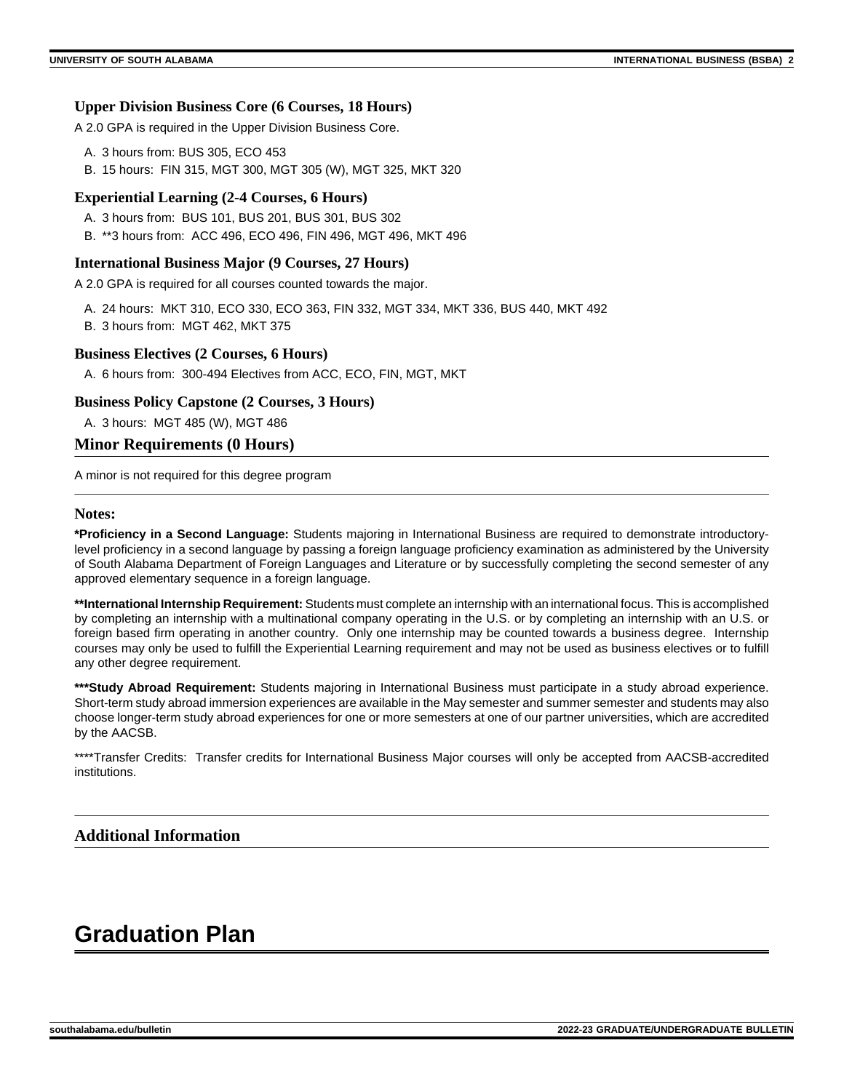### **Upper Division Business Core (6 Courses, 18 Hours)**

A 2.0 GPA is required in the Upper Division Business Core.

- A. 3 hours from: BUS 305, ECO 453
- B. 15 hours: FIN 315, MGT 300, MGT 305 (W), MGT 325, MKT 320

### **Experiential Learning (2-4 Courses, 6 Hours)**

- A. 3 hours from: BUS 101, BUS 201, BUS 301, BUS 302
- B. \*\*3 hours from: ACC 496, ECO 496, FIN 496, MGT 496, MKT 496

### **International Business Major (9 Courses, 27 Hours)**

A 2.0 GPA is required for all courses counted towards the major.

- A. 24 hours: MKT 310, ECO 330, ECO 363, FIN 332, MGT 334, MKT 336, BUS 440, MKT 492
- B. 3 hours from: MGT 462, MKT 375

### **Business Electives (2 Courses, 6 Hours)**

A. 6 hours from: 300-494 Electives from ACC, ECO, FIN, MGT, MKT

### **Business Policy Capstone (2 Courses, 3 Hours)**

A. 3 hours: MGT 485 (W), MGT 486

### **Minor Requirements (0 Hours)**

A minor is not required for this degree program

### **Notes:**

**\*Proficiency in a Second Language:** Students majoring in International Business are required to demonstrate introductorylevel proficiency in a second language by passing a foreign language proficiency examination as administered by the University of South Alabama Department of Foreign Languages and Literature or by successfully completing the second semester of any approved elementary sequence in a foreign language.

**\*\*International Internship Requirement:** Students must complete an internship with an international focus. This is accomplished by completing an internship with a multinational company operating in the U.S. or by completing an internship with an U.S. or foreign based firm operating in another country. Only one internship may be counted towards a business degree. Internship courses may only be used to fulfill the Experiential Learning requirement and may not be used as business electives or to fulfill any other degree requirement.

**\*\*\*Study Abroad Requirement:** Students majoring in International Business must participate in a study abroad experience. Short-term study abroad immersion experiences are available in the May semester and summer semester and students may also choose longer-term study abroad experiences for one or more semesters at one of our partner universities, which are accredited by the AACSB.

\*\*\*\*Transfer Credits: Transfer credits for International Business Major courses will only be accepted from AACSB-accredited institutions.

### **Additional Information**

## **Graduation Plan**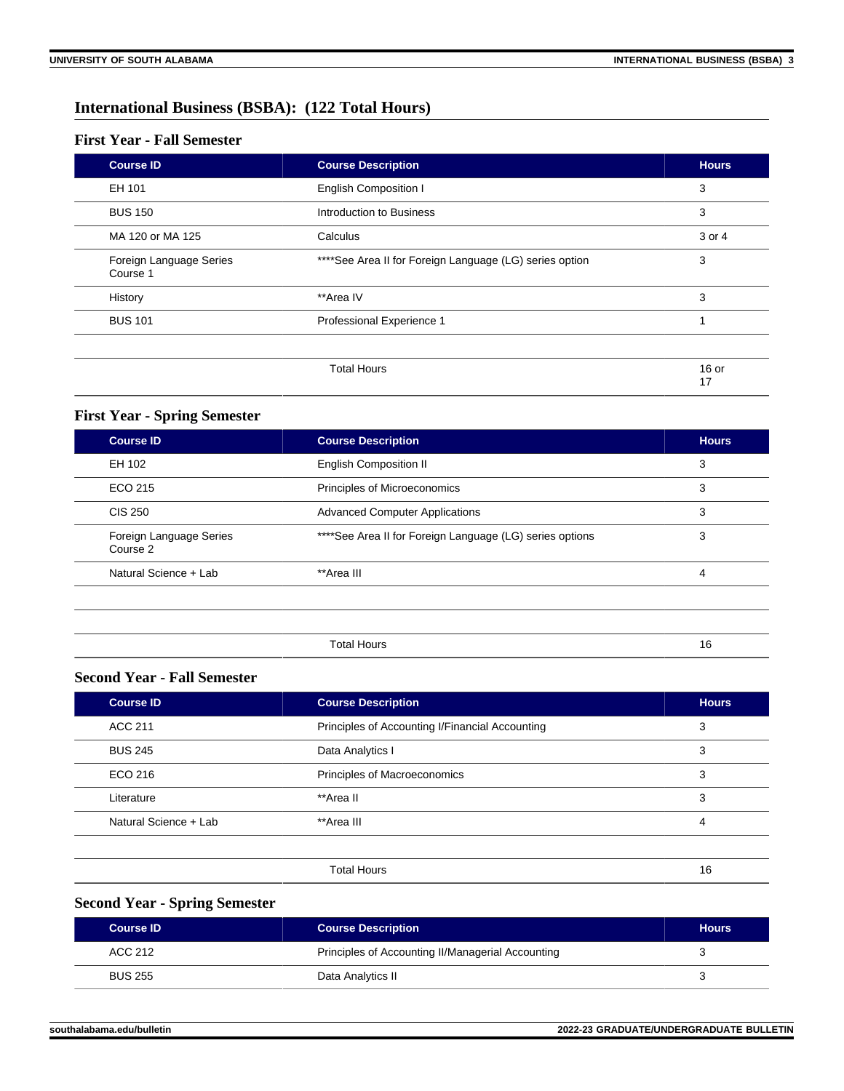### **International Business (BSBA): (122 Total Hours)**

### **First Year - Fall Semester**

| <b>Course ID</b>                    | <b>Course Description</b>                                | <b>Hours</b>  |
|-------------------------------------|----------------------------------------------------------|---------------|
| EH 101                              | <b>English Composition I</b>                             | 3             |
| <b>BUS 150</b>                      | Introduction to Business                                 | 3             |
| MA 120 or MA 125                    | Calculus                                                 | 3 or 4        |
| Foreign Language Series<br>Course 1 | **** See Area II for Foreign Language (LG) series option | 3             |
| History                             | **Area IV                                                | 3             |
| <b>BUS 101</b>                      | Professional Experience 1                                |               |
|                                     | <b>Total Hours</b>                                       | $16$ or<br>17 |

### **First Year - Spring Semester**

| <b>Course ID</b>                    | <b>Course Description</b>                                     | <b>Hours</b> |
|-------------------------------------|---------------------------------------------------------------|--------------|
| EH 102                              | <b>English Composition II</b>                                 | 3            |
| ECO 215                             | Principles of Microeconomics                                  | 3            |
| <b>CIS 250</b>                      | <b>Advanced Computer Applications</b>                         | 3            |
| Foreign Language Series<br>Course 2 | ****See Area II for Foreign Language (LG) series options<br>3 |              |
| Natural Science + Lab               | **Area III                                                    |              |
|                                     |                                                               |              |
|                                     |                                                               |              |
|                                     | <b>Total Hours</b>                                            | 16           |

### **Second Year - Fall Semester**

| <b>Course ID</b>      | <b>Course Description</b>                       | <b>Hours</b> |
|-----------------------|-------------------------------------------------|--------------|
| ACC 211               | Principles of Accounting I/Financial Accounting | 3            |
| <b>BUS 245</b>        | Data Analytics I                                | 3            |
| ECO 216               | Principles of Macroeconomics                    | 3            |
| Literature            | **Area II                                       | 3            |
| Natural Science + Lab | **Area III                                      | 4            |
|                       |                                                 |              |
|                       | <b>Total Hours</b>                              | 16           |

### **Second Year - Spring Semester**

| <b>Course ID</b> | <b>Course Description</b>                         | <b>Hours</b> |
|------------------|---------------------------------------------------|--------------|
| ACC 212          | Principles of Accounting II/Managerial Accounting |              |
| <b>BUS 255</b>   | Data Analytics II                                 |              |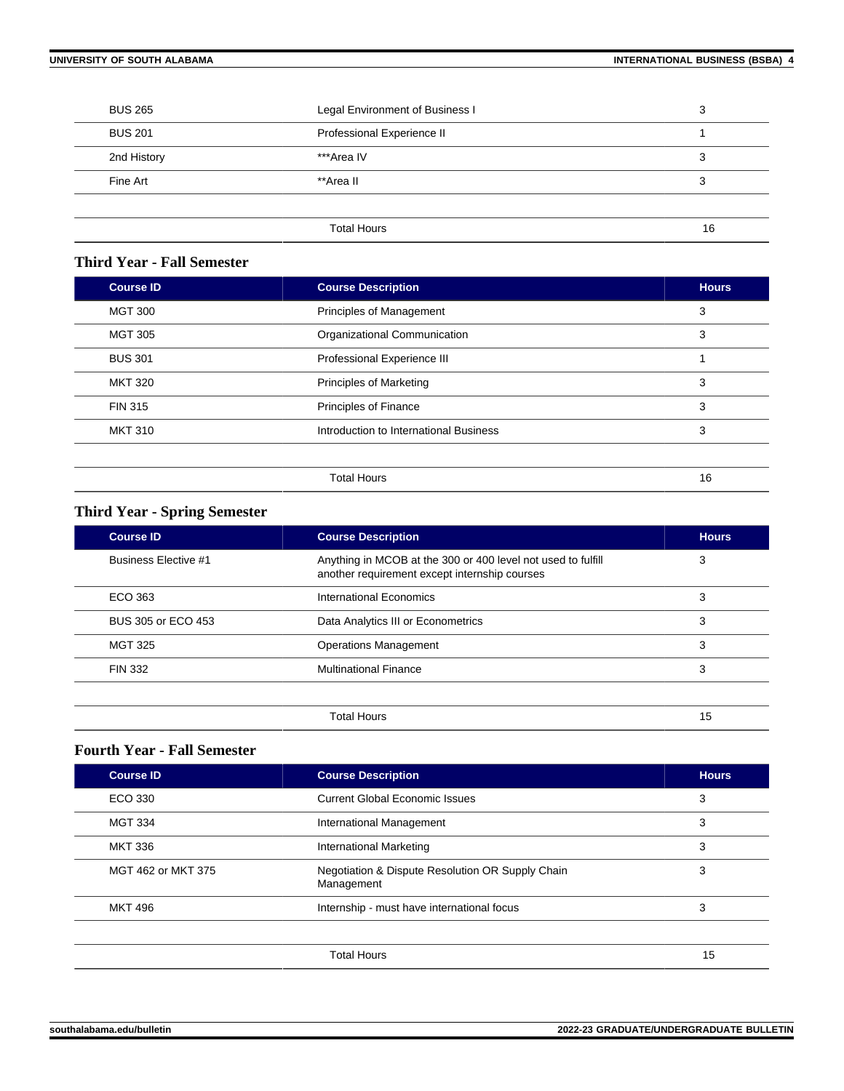| <b>BUS 265</b> | Legal Environment of Business I | 3  |
|----------------|---------------------------------|----|
| <b>BUS 201</b> | Professional Experience II      |    |
| 2nd History    | ***Area IV                      | 3  |
| Fine Art       | **Area II                       | 3  |
|                |                                 |    |
|                | <b>Total Hours</b>              | 16 |

### **Third Year - Fall Semester**

| <b>Course ID</b> | <b>Course Description</b>              | <b>Hours</b> |
|------------------|----------------------------------------|--------------|
| <b>MGT 300</b>   | Principles of Management               | 3            |
| <b>MGT 305</b>   | Organizational Communication           | 3            |
| <b>BUS 301</b>   | Professional Experience III            |              |
| <b>MKT 320</b>   | <b>Principles of Marketing</b>         | 3            |
| <b>FIN 315</b>   | <b>Principles of Finance</b><br>3      |              |
| <b>MKT 310</b>   | Introduction to International Business | 3            |
|                  |                                        |              |
|                  | <b>Total Hours</b>                     | 16           |

### **Third Year - Spring Semester**

| <b>Course ID</b>            | <b>Course Description</b>                                                                                     | <b>Hours</b> |
|-----------------------------|---------------------------------------------------------------------------------------------------------------|--------------|
| <b>Business Elective #1</b> | Anything in MCOB at the 300 or 400 level not used to fulfill<br>another requirement except internship courses | 3            |
| ECO 363                     | International Economics                                                                                       | 3            |
| BUS 305 or ECO 453          | Data Analytics III or Econometrics                                                                            | 3            |
| <b>MGT 325</b>              | <b>Operations Management</b>                                                                                  | 3            |
| <b>FIN 332</b>              | <b>Multinational Finance</b>                                                                                  | 3            |
|                             |                                                                                                               |              |
|                             | Total Hours                                                                                                   | 15           |

### **Fourth Year - Fall Semester**

| <b>Course ID</b>   | <b>Course Description</b>                                      | <b>Hours</b> |
|--------------------|----------------------------------------------------------------|--------------|
| ECO 330            | <b>Current Global Economic Issues</b>                          | 3            |
| <b>MGT 334</b>     | International Management                                       | 3            |
| <b>MKT 336</b>     | 3<br>International Marketing                                   |              |
| MGT 462 or MKT 375 | Negotiation & Dispute Resolution OR Supply Chain<br>Management |              |
| <b>MKT 496</b>     | Internship - must have international focus                     |              |
|                    |                                                                |              |
|                    | <b>Total Hours</b>                                             | 15           |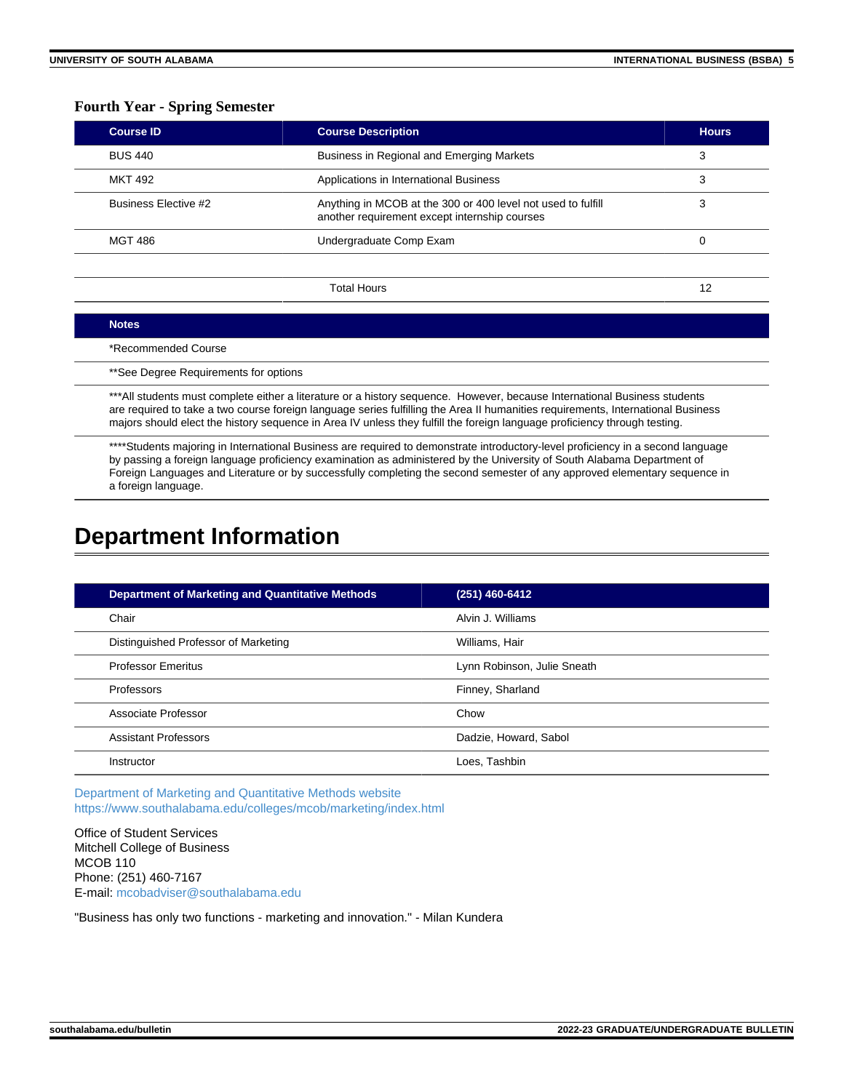### **Fourth Year - Spring Semester**

| <b>Course ID</b>            | <b>Course Description</b>                                                                                     | <b>Hours</b> |
|-----------------------------|---------------------------------------------------------------------------------------------------------------|--------------|
| <b>BUS 440</b>              | Business in Regional and Emerging Markets                                                                     | 3            |
| <b>MKT 492</b>              | Applications in International Business                                                                        | 3            |
| <b>Business Flective #2</b> | Anything in MCOB at the 300 or 400 level not used to fulfill<br>another requirement except internship courses |              |
| MGT 486                     | Undergraduate Comp Exam                                                                                       | 0            |
|                             |                                                                                                               |              |
|                             | Total Hours                                                                                                   | 12           |

#### **Notes**

\*Recommended Course

\*\*See Degree Requirements for options

\*\*\*All students must complete either a literature or a history sequence. However, because International Business students are required to take a two course foreign language series fulfilling the Area II humanities requirements, International Business majors should elect the history sequence in Area IV unless they fulfill the foreign language proficiency through testing.

\*\*\*\*Students majoring in International Business are required to demonstrate introductory-level proficiency in a second language by passing a foreign language proficiency examination as administered by the University of South Alabama Department of Foreign Languages and Literature or by successfully completing the second semester of any approved elementary sequence in a foreign language.

## **Department Information**

| <b>Department of Marketing and Quantitative Methods</b> | (251) 460-6412              |
|---------------------------------------------------------|-----------------------------|
| Chair                                                   | Alvin J. Williams           |
| Distinguished Professor of Marketing                    | Williams, Hair              |
| <b>Professor Emeritus</b>                               | Lynn Robinson, Julie Sneath |
| Professors                                              | Finney, Sharland            |
| Associate Professor                                     | Chow                        |
| <b>Assistant Professors</b>                             | Dadzie, Howard, Sabol       |
| Instructor                                              | Loes, Tashbin               |

[Department of Marketing and Quantitative Methods website](https://www.southalabama.edu/colleges/mcob/marketing) <https://www.southalabama.edu/colleges/mcob/marketing/index.html>

Office of Student Services Mitchell College of Business MCOB 110 Phone: (251) 460-7167 E-mail: [mcobadviser@southalabama.edu](mailto:mcobadviser@southalabama.edu?subject=)

"Business has only two functions - marketing and innovation." - Milan Kundera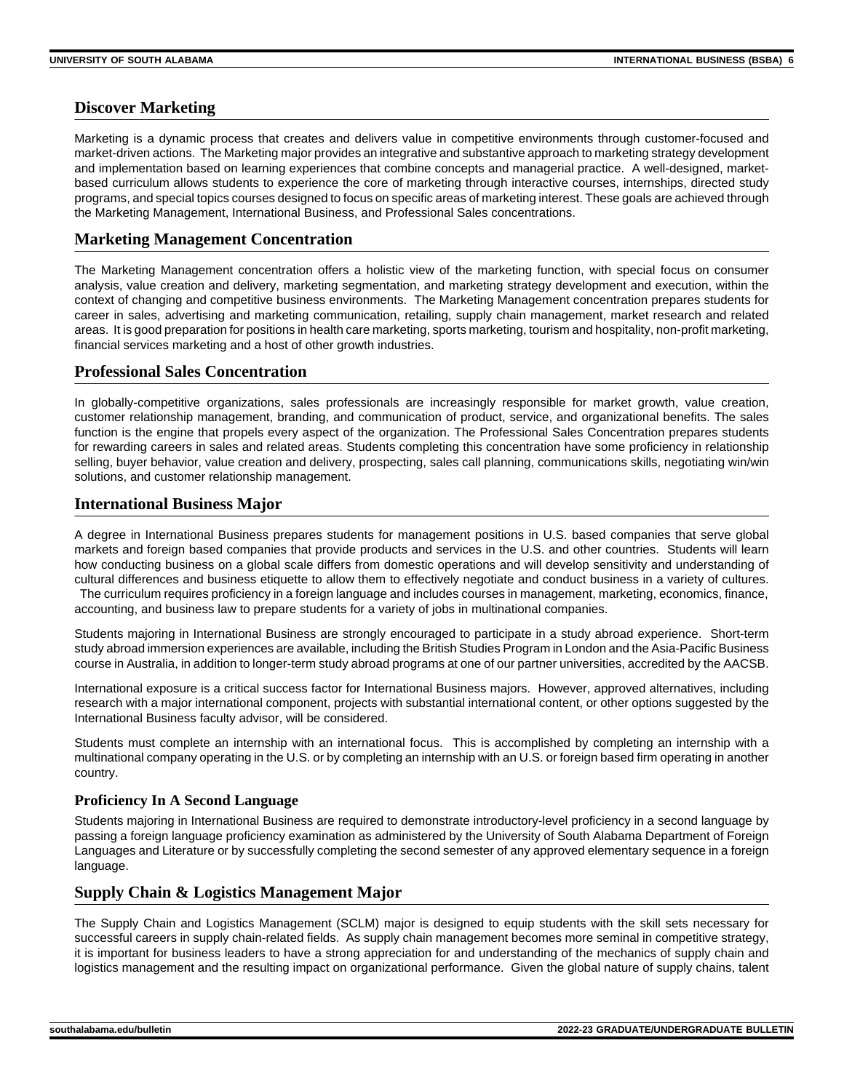### **Discover Marketing**

Marketing is a dynamic process that creates and delivers value in competitive environments through customer-focused and market-driven actions. The Marketing major provides an integrative and substantive approach to marketing strategy development and implementation based on learning experiences that combine concepts and managerial practice. A well-designed, marketbased curriculum allows students to experience the core of marketing through interactive courses, internships, directed study programs, and special topics courses designed to focus on specific areas of marketing interest. These goals are achieved through the Marketing Management, International Business, and Professional Sales concentrations.

### **Marketing Management Concentration**

The Marketing Management concentration offers a holistic view of the marketing function, with special focus on consumer analysis, value creation and delivery, marketing segmentation, and marketing strategy development and execution, within the context of changing and competitive business environments. The Marketing Management concentration prepares students for career in sales, advertising and marketing communication, retailing, supply chain management, market research and related areas. It is good preparation for positions in health care marketing, sports marketing, tourism and hospitality, non-profit marketing, financial services marketing and a host of other growth industries.

### **Professional Sales Concentration**

In globally-competitive organizations, sales professionals are increasingly responsible for market growth, value creation, customer relationship management, branding, and communication of product, service, and organizational benefits. The sales function is the engine that propels every aspect of the organization. The Professional Sales Concentration prepares students for rewarding careers in sales and related areas. Students completing this concentration have some proficiency in relationship selling, buyer behavior, value creation and delivery, prospecting, sales call planning, communications skills, negotiating win/win solutions, and customer relationship management.

### **International Business Major**

A degree in International Business prepares students for management positions in U.S. based companies that serve global markets and foreign based companies that provide products and services in the U.S. and other countries. Students will learn how conducting business on a global scale differs from domestic operations and will develop sensitivity and understanding of cultural differences and business etiquette to allow them to effectively negotiate and conduct business in a variety of cultures. The curriculum requires proficiency in a foreign language and includes courses in management, marketing, economics, finance, accounting, and business law to prepare students for a variety of jobs in multinational companies.

Students majoring in International Business are strongly encouraged to participate in a study abroad experience. Short-term study abroad immersion experiences are available, including the British Studies Program in London and the Asia-Pacific Business course in Australia, in addition to longer-term study abroad programs at one of our partner universities, accredited by the AACSB.

International exposure is a critical success factor for International Business majors. However, approved alternatives, including research with a major international component, projects with substantial international content, or other options suggested by the International Business faculty advisor, will be considered.

Students must complete an internship with an international focus. This is accomplished by completing an internship with a multinational company operating in the U.S. or by completing an internship with an U.S. or foreign based firm operating in another country.

### **Proficiency In A Second Language**

Students majoring in International Business are required to demonstrate introductory-level proficiency in a second language by passing a foreign language proficiency examination as administered by the University of South Alabama Department of Foreign Languages and Literature or by successfully completing the second semester of any approved elementary sequence in a foreign language.

### **Supply Chain & Logistics Management Major**

The Supply Chain and Logistics Management (SCLM) major is designed to equip students with the skill sets necessary for successful careers in supply chain-related fields. As supply chain management becomes more seminal in competitive strategy, it is important for business leaders to have a strong appreciation for and understanding of the mechanics of supply chain and logistics management and the resulting impact on organizational performance. Given the global nature of supply chains, talent